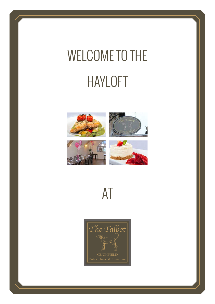# WELCOME TO THE HAYLOFT





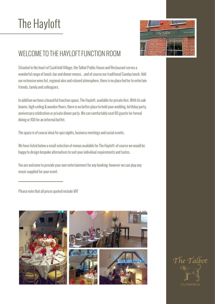

### WELCOME TO THE HAYLOFT FUNCTION ROOM

Situated in the heart of Cuckfield Village, the Talbot Public House and Restaurant serves a wonderful range of lunch, bar and dinner menus... and of course our traditional Sunday lunch. Add our extensive wine list, regional ales and relaxed atmosphere, there is no place better to entertain friends, family and colleagues.

In addition we have a beautiful function space, The Hayloft, available for private hire. With its oak beams, high ceiling & wooden floors, there is no better place to hold your wedding, birthday party, anniversary celebration or private dinner party. We can comfortably seat 80 guests for formal dining or 100 for an informal buffet.

The space is of course ideal for quiz nights, business meetings and social events.

We have listed below a small selection of menus available for The Hayloft; of course we would be happy to design bespoke alternatives to suit your individual requirements and tastes.

You are welcome to provide your own entertainment for any booking; however we can play any music supplied for your event.

Please note that all prices quoted include VAT



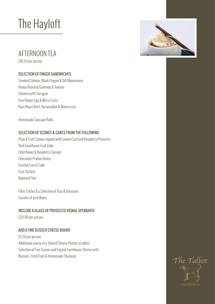### AFTERNOON TEA

£16.50 per person

#### SELECTION OF FINGER SANDWICHES

Smoked Salmon, Black Pepper & Dill Mayonnaise Honey Roasted Gammon & Tomato Chicken with Tarragon Free Range Egg & Micro Cress Rare Roast Beef, Horseradish & Watercress

Homemade Sausage Rolls

#### SELECTION OF SCONES & CAKES FROM THE FOLLOWING

Plain & Fruit Scones topped with Lemon Curd and Raspberry Preserve Rich Farmhouse Fruit Cake Elderflower & Raspberry Sponge Chocolate Praline Delice Frosted Carrot Cake Fruit Tartlets Bakewell Tart

Filter Coffee & a Selection of Teas & Infusions Carafes of Iced Water

#### INCLUDE A GLASS OF PROSECCO VIGNAL SPUMANTE

£20.00 per person

#### ADD A FINE SUSSEX CHEESE BOARD

£5.50 per person Additional course of a Shared Cheese Platter to tables Selection of Fine Sussex and English Farmhouse Cheese with Biscuits, Fresh Fruit & Homemade Chutneys



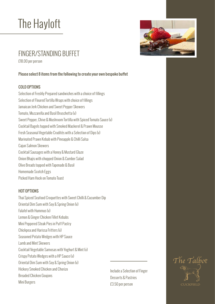### FINGER/STANDING BUFFET

£18.00 per person

#### Please select 8 items from the following to create your own bespoke buffet

#### COLD OPTIONS

Selection of Freshly Prepared sandwiches with a choice of fillings Selection of Floured Tortilla Wraps with choice of fillings Jamaican Jerk Chicken and Sweet Pepper Skewers Tomato, Mozzarella and Basil Bruschetta (v) Sweet Pepper, Chive & Mushroom Tortilla with Spiced Tomato Sauce (v) Cocktail Bagels topped with Smoked Mackerel & Prawn Mousse Fresh Seasonal Vegetable Crudités with a Selection of Dips (v) Marinated Prawn Kebab with Pineapple & Chilli Salsa Cajun Salmon Skewers Cocktail Sausages with a Honey & Mustard Glaze Onion Bhajis with chopped Onion & Cumber Salad Olive Breads topped with Tapenade & Basil Homemade Scotch Eggs Picked Ham Hock on Tomato Toast

#### HOT OPTIONS

Thai Spiced Seafood Croquettes with Sweet Chilli & Cucumber Dip Oriental Dim Sum with Soy & Spring Onion (v) Falafel with Hummus (v) Lemon & Ginger Chicken Fillet Kebabs Mini Peppered Steak Pies in Puff Pastry Chickpea and Harissa Fritters (v) Seasoned Potato Wedges with HP Sauce Lamb and Mint Skewers Cocktail Vegetable Samosas with Yoghurt & Mint (v) Crispy Potato Wedges with a HP Sauce (v) Oriental Dim Sum with Soy & Spring Onion (v) Hickory Smoked Chicken and Chorizo Breaded Chicken Goujons Mini Burgers

Include a Selection of Finger Desserts & Pastries £3.50 per person



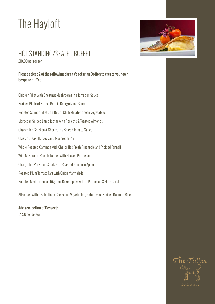

### HOT STANDING/SEATED BUFFET

£18.00 per person

#### Please select 2 of the following plus a Vegetarian Option to create your own bespoke buffet

Chicken Fillet with Chestnut Mushrooms in a Tarragon Sauce Braised Blade of British Beef in Bourguignon Sauce Roasted Salmon Fillet on a Bed of Chilli Mediterranean Vegetables Moroccan Spiced Lamb Tagine with Apricots & Toasted Almonds Chargrilled Chicken & Chorizo in a Spiced Tomato Sauce Classic Steak, Harveys and Mushroom Pie Whole Roasted Gammon with Chargrilled Fresh Pineapple and Pickled Fennell Wild Mushroom Risotto topped with Shaved Parmesan Chargrilled Pork Loin Steak with Roasted Braeburn Apple Roasted Plum Tomato Tart with Onion Marmalade Roasted Mediterranean Rigatoni Bake topped with a Parmesan & Herb Crust

All served with a Selection of Seasonal Vegetables, Potatoes or Braised Basmati Rice

Add a selection of Desserts £4.50 per person

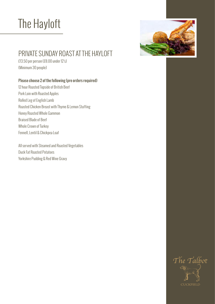

### PRIVATE SUNDAY ROAST AT THE HAYLOFT

£13.50 per person (£8.00 under 12's) (Minimum 30 people)

#### Please choose 2 of the following (pre orders required)

12 hour Roasted Topside of British Beef Pork Loin with Roasted Apples Rolled Leg of English Lamb Roasted Chicken Breast with Thyme & Lemon Stuffing Honey Roasted Whole Gammon Braised Blade of Beef Whole Crown of Turkey Fennell, Lentil & Chickpea Loaf

All served with Steamed and Roasted Vegetables Duck Fat Roasted Potatoes Yorkshire Pudding & Red Wine Gravy

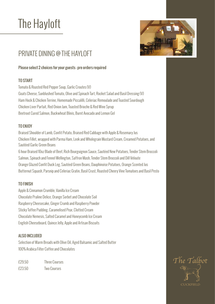

### PRIVATE DINING @ THE HAYLOFT

#### Please select 2 choices for your guests – pre orders required

#### TO START

Tomato & Roasted Red Pepper Soup, Garlic Croutes (V) Goats Cheese, Sunblushed Tomato, Olive and Spinach Tart, Rocket Salad and Basil Dressing (V) Ham Hock & Chicken Terrine, Homemade Piccalilli, Celeriac Remoulade and Toasted Sourdough Chicken Liver Parfait, Red Onion Jam, Toasted Brioche & Red Wine Syrup Beetroot Cured Salmon, Buckwheat Blinis, Burnt Avocado and Lemon Gel

#### TO ENJOY

Braised Shoulder of Lamb, Confit Potato, Braised Red Cabbage with Apple & Rosemary Jus Chicken Fillet, wrapped with Parma Ham, Leek and Wholegrain Mustard Cream, Creamed Potatoes, and Sautéed Garlic Green Beans

6 hour Braised 10oz Blade of Beef, Rich Bourguignon Sauce, Sautéed New Potatoes, Tender Stem Broccoli Salmon, Spinach and Fennel Wellington, Saffron Mash, Tender Stem Broccoli and Dill Veloute Orange Glazed Confit Duck Leg, Sautéed Green Beans, Dauphinoise Potatoes, Orange Scented Jus Butternut Squash, Parsnip and Celeriac Gratin, Basil Crust, Roasted Cheery Vine Tomatoes and Basil Pesto

#### TO FINISH

Apple & Cinnamon Crumble, Vanilla Ice Cream Chocolate Praline Delice, Orange Sorbet and Chocolate Soil Raspberry Cheesecake, Ginger Crumb and Raspberry Powder Sticky Toffee Pudding, Caramelised Pear, Clotted Cream Chocolate Nemesis, Salted Caramel and Honeycomb Ice Cream English Cheeseboard, Quince Jelly, Apple and Artisan Biscuits

#### ALSO INCLUDED

Selection of Warm Breads with Olive Oil, Aged Balsamic and Salted Butter 100% Arabica Filter Coffee and Chocolates

| £29.50 | <b>Three Courses</b> |
|--------|----------------------|
| £23.50 | <b>Two Courses</b>   |

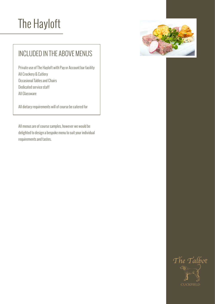

### INCLUDED IN THE ABOVE MENUS

Private use of The Hayloft with Pay or Account bar facility All Crockery & Cutlery Occasional Tables and Chairs Dedicated service staff All Glassware

All dietary requirements will of course be catered for

All menus are of course samples, however we would be delighted to design a bespoke menu to suit your individual requirements and tastes.

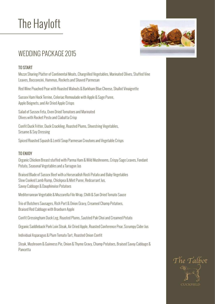

### WEDDING PACKAGE 2015

#### TO START

Mezze Sharing Platter of Continental Meats, Chargrilled Vegetables, Marinated Olives, Stuffed Vine Leaves, Bocconcini, Hummus, Rockets and Shaved Parmesan

Red Wine Poached Pear with Roasted Walnuts & Barkham Blue Cheese, Shallot Vinaigrette

Sussex Ham Hock Terrine, Celeriac Remoulade with Apple & Sage Puree, Apple Beignets, and Air Dried Apple Crisps

Salad of Sussex Feta, Oven Dried Tomatoes and Marinated Olives with Rocket Pesto and Ciabatta Crisp

Confit Duck Fritter, Duck Crackling, Roasted Plums, Shoestring Vegetables, Sesame & Soy Dressing

Spiced Roasted Squash & Lentil Soup Parmesan Croutons and Vegetable Crisps

#### TO ENJOY

Organic Chicken Breast stuffed with Parma Ham & Wild Mushrooms, Crispy Sage Leaves, Fondant Potato, Seasonal Vegetables and a Tarragon Jus

Braised Blade of Sussex Beef with a Horseradish Rosti Potato and Baby Vegetables Slow Cooked Lamb Rump, Chickpea & Mint Puree, Redcurrant Jus, Savoy Cabbage & Dauphinoise Potatoes

Mediterranean Vegetable & Mozzarella Filo Wrap, Chilli & Sun Dried Tomato Sauce

Trio of Butchers Sausages, Rich Port & Onion Gravy, Creamed Champ Potatoes, Braised Red Cabbage with Braeburn Apple

Confit Gressingham Duck Leg, Roasted Plums, Sautéed Pak Choi and Creamed Potato

Organic Saddleback Pork Loin Steak, Air Dried Apple, Roasted Conference Pear, Scrumpy Cider Jus

Individual Asparagus & Plum Tomato Tart, Roasted Onion Confit

Steak, Mushroom & Guinness Pie, Onion & Thyme Gravy, Champ Potatoes, Braised Savoy Cabbage & Pancetta

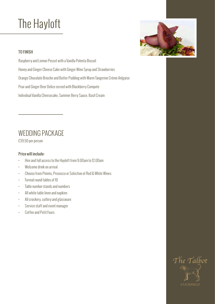#### TO FINISH

Raspberry and Lemon Posset with a Vanilla Polenta Biscuit Honey and Ginger Cheese Cake with Ginger Wine Syrup and Strawberries Orange Chocolate Brioche and Butter Pudding with Warm Tangerine Crème Anlgaise Pear and Ginger Beer Delice served with Blackberry Compote Individual Vanilla Cheesecake, Summer Berry Sauce, Basil Cream

### WEDDING PACKAGE

£39.50 per person

#### Price will include:

- Hire and full access to the Hayloft from 9.00am to 12.00am
- Welcome drink on arrival
- Choose from Pimms, Prosecco or Selection of Red & White Wines
- Formal round tables of 10
- Table number stands and numbers
- All white table linen and napkins
- All crockery, cutlery and glassware
- Service staff and event manager
- Coffee and Petit Fours



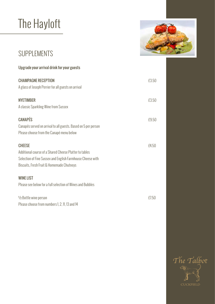

### SUPPLEMENTS

| £3.50 |
|-------|
|       |
| £3.50 |
|       |
| £9.50 |
|       |
|       |
| £4.50 |
|       |
|       |
|       |
|       |
|       |
| £7.50 |
|       |
|       |

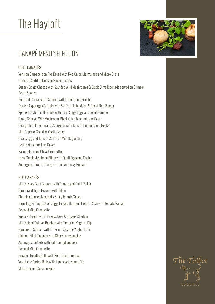### CANAPÉ MENU SELECTION

#### COLD CANAPÉS

Venison Carpaccio on Rye Bread with Red Onion Marmalade and Micro Cress Oriental Confit of Duck on Spiced Toasts Sussex Goats Cheese with Sautéed Wild Mushrooms & Black Olive Tapenade served on Crimson Pesto Scones Beetroot Carpaccio of Salmon with Lime Crème Fraiche English Asparagus Tartlets with Saffron Hollandaise & Roast Red Pepper Spanish Style Tortilla made with Free Range Eggs and Local Gammon Goats Cheese, Wild Mushroom, Black Olive Tapenade and Pesto Chargrilled Halloumi and Courgette with Tomato Hummus and Rocket Mini Caprese Salad on Garlic Bread Quails Egg and Tomato Confit on Mini Baguettes Red Thai Salmon Fish Cakes Parma Ham and Chive Croquettes Local Smoked Salmon Blinis with Quail Eggs and Caviar Aubergine, Tomato, Courgette and Anchovy Roulade

#### HOT CANAPÉS

Mini Sussex Beef Burgers with Tomato and Chilli Relish Tempura of Tiger Prawns with Tahini Shemins Curried Meatballs Spicy Tomato Sauce Ham, Egg & Chips (Quails Egg, Picked Ham and Potato Rosti with Tomato Sauce) Pea and Mint Croquette Sussex Rarebit with Harveys Beer & Sussex Cheddar Mini Spiced Salmon Bamboo with Tamarind Yoghurt Dip Goujons of Salmon with Lime and Sesame Yoghurt Dip Chicken Fillet Goujons with Chervil mayonnaise Asparagus Tartlets with Saffron Hollandaise Pea and Mint Croquette Breaded Risotto Balls with Sun-Dried Tomatoes Vegetable Spring Rolls with Japanese Sesame Dip Mini Crab and Sesame Rolls